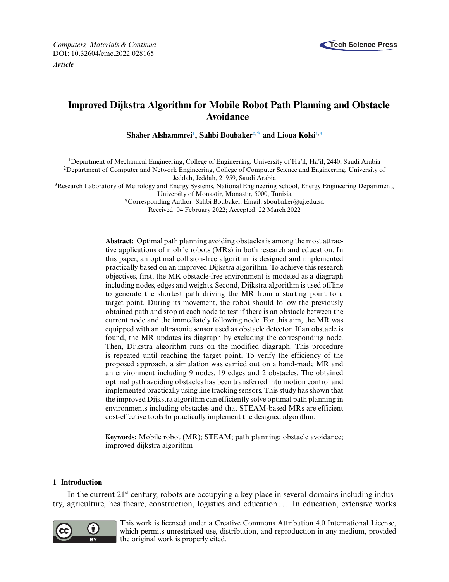

# **Improved Dijkstra Algorithm for Mobile Robot Path Planning and Obstacle Avoidance**

 $\boldsymbol{\mathrm{Shaker}}$  Alshammrei<sup>1</sup>, Sahbi Boubaker<sup>2,[\\*](#page-0-2)</sup> and Lioua Kolsi<sup>1,[3](#page-0-1)</sup>

<span id="page-0-0"></span>1Department of Mechanical Engineering, College of Engineering, University of Ha'il, Ha'il, 2440, Saudi Arabia <sup>2</sup>Department of Computer and Network Engineering, College of Computer Science and Engineering, University of

Jeddah, Jeddah, 21959, Saudi Arabia

<span id="page-0-1"></span><sup>3</sup>Research Laboratory of Metrology and Energy Systems, National Engineering School, Energy Engineering Department, University of Monastir, Monastir, 5000, Tunisia

<span id="page-0-2"></span>\*Corresponding Author: Sahbi Boubaker. Email: [sboubaker@uj.edu.sa](mailto:sboubaker@uj.edu.sa)

Received: 04 February 2022; Accepted: 22 March 2022

**Abstract:** Optimal path planning avoiding obstacles is among the most attractive applications of mobile robots (MRs) in both research and education. In this paper, an optimal collision-free algorithm is designed and implemented practically based on an improved Dijkstra algorithm. To achieve this research objectives, first, the MR obstacle-free environment is modeled as a diagraph including nodes, edges and weights. Second, Dijkstra algorithm is used offline to generate the shortest path driving the MR from a starting point to a target point. During its movement, the robot should follow the previously obtained path and stop at each node to test if there is an obstacle between the current node and the immediately following node. For this aim, the MR was equipped with an ultrasonic sensor used as obstacle detector. If an obstacle is found, the MR updates its diagraph by excluding the corresponding node. Then, Dijkstra algorithm runs on the modified diagraph. This procedure is repeated until reaching the target point. To verify the efficiency of the proposed approach, a simulation was carried out on a hand-made MR and an environment including 9 nodes, 19 edges and 2 obstacles. The obtained optimal path avoiding obstacles has been transferred into motion control and implemented practically using line tracking sensors. This study has shown that the improved Dijkstra algorithm can efficiently solve optimal path planning in environments including obstacles and that STEAM-based MRs are efficient cost-effective tools to practically implement the designed algorithm.

**Keywords:** Mobile robot (MR); STEAM; path planning; obstacle avoidance; improved dijkstra algorithm

## **1 Introduction**

In the current  $21<sup>st</sup>$  century, robots are occupying a key place in several domains including industry, agriculture, healthcare, construction, logistics and education *...* In education, extensive works



This work is licensed under a Creative Commons Attribution 4.0 International License, which permits unrestricted use, distribution, and reproduction in any medium, provided the original work is properly cited.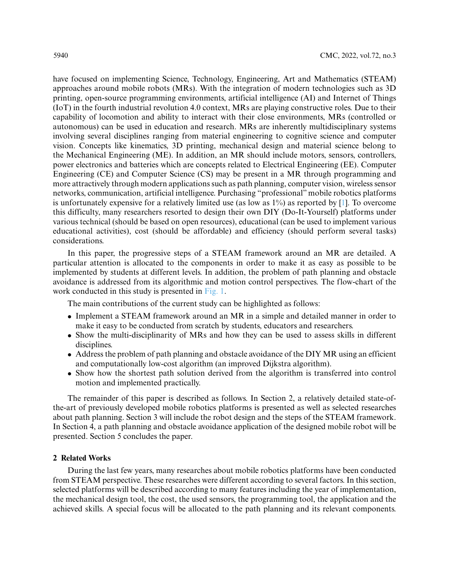have focused on implementing Science, Technology, Engineering, Art and Mathematics (STEAM) approaches around mobile robots (MRs). With the integration of modern technologies such as 3D printing, open-source programming environments, artificial intelligence (AI) and Internet of Things (IoT) in the fourth industrial revolution 4.0 context, MRs are playing constructive roles. Due to their capability of locomotion and ability to interact with their close environments, MRs (controlled or autonomous) can be used in education and research. MRs are inherently multidisciplinary systems involving several disciplines ranging from material engineering to cognitive science and computer vision. Concepts like kinematics, 3D printing, mechanical design and material science belong to the Mechanical Engineering (ME). In addition, an MR should include motors, sensors, controllers, power electronics and batteries which are concepts related to Electrical Engineering (EE). Computer Engineering (CE) and Computer Science (CS) may be present in a MR through programming and more attractively through modern applications such as path planning, computer vision, wireless sensor networks, communication, artificial intelligence. Purchasing "professional" mobile robotics platforms is unfortunately expensive for a relatively limited use (as low as  $1\%$ ) as reported by [\[1\]](#page-14-0). To overcome this difficulty, many researchers resorted to design their own DIY (Do-It-Yourself) platforms under various technical (should be based on open resources), educational (can be used to implement various educational activities), cost (should be affordable) and efficiency (should perform several tasks) considerations.

In this paper, the progressive steps of a STEAM framework around an MR are detailed. A particular attention is allocated to the components in order to make it as easy as possible to be implemented by students at different levels. In addition, the problem of path planning and obstacle avoidance is addressed from its algorithmic and motion control perspectives. The flow-chart of the work conducted in this study is presented in [Fig. 1.](#page-2-0)

The main contributions of the current study can be highlighted as follows:

- Implement a STEAM framework around an MR in a simple and detailed manner in order to make it easy to be conducted from scratch by students, educators and researchers.
- Show the multi-disciplinarity of MRs and how they can be used to assess skills in different disciplines.
- Address the problem of path planning and obstacle avoidance of the DIY MR using an efficient and computationally low-cost algorithm (an improved Dijkstra algorithm).
- Show how the shortest path solution derived from the algorithm is transferred into control motion and implemented practically.

The remainder of this paper is described as follows. In Section 2, a relatively detailed state-ofthe-art of previously developed mobile robotics platforms is presented as well as selected researches about path planning. Section 3 will include the robot design and the steps of the STEAM framework. In Section 4, a path planning and obstacle avoidance application of the designed mobile robot will be presented. Section 5 concludes the paper.

#### **2 Related Works**

During the last few years, many researches about mobile robotics platforms have been conducted from STEAM perspective. These researches were different according to several factors. In this section, selected platforms will be described according to many features including the year of implementation, the mechanical design tool, the cost, the used sensors, the programming tool, the application and the achieved skills. A special focus will be allocated to the path planning and its relevant components.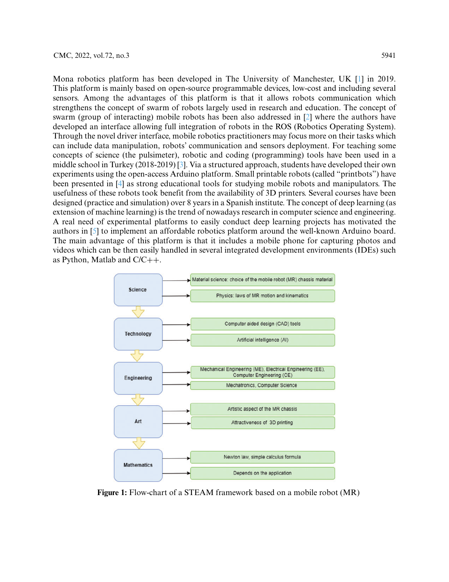Mona robotics platform has been developed in The University of Manchester, UK [\[1\]](#page-14-0) in 2019. This platform is mainly based on open-source programmable devices, low-cost and including several sensors. Among the advantages of this platform is that it allows robots communication which strengthens the concept of swarm of robots largely used in research and education. The concept of swarm (group of interacting) mobile robots has been also addressed in [\[2\]](#page-14-1) where the authors have developed an interface allowing full integration of robots in the ROS (Robotics Operating System). Through the novel driver interface, mobile robotics practitioners may focus more on their tasks which can include data manipulation, robots' communication and sensors deployment. For teaching some concepts of science (the pulsimeter), robotic and coding (programming) tools have been used in a middle school in Turkey (2018-2019) [\[3\]](#page-14-2). Via a structured approach, students have developed their own experiments using the open-access Arduino platform. Small printable robots (called "printbots") have been presented in [\[4\]](#page-14-3) as strong educational tools for studying mobile robots and manipulators. The usefulness of these robots took benefit from the availability of 3D printers. Several courses have been designed (practice and simulation) over 8 years in a Spanish institute. The concept of deep learning (as extension of machine learning) is the trend of nowadays research in computer science and engineering. A real need of experimental platforms to easily conduct deep learning projects has motivated the authors in [\[5\]](#page-14-4) to implement an affordable robotics platform around the well-known Arduino board. The main advantage of this platform is that it includes a mobile phone for capturing photos and videos which can be then easily handled in several integrated development environments (IDEs) such as Python, Matlab and C/C++.



<span id="page-2-0"></span>**Figure 1:** Flow-chart of a STEAM framework based on a mobile robot (MR)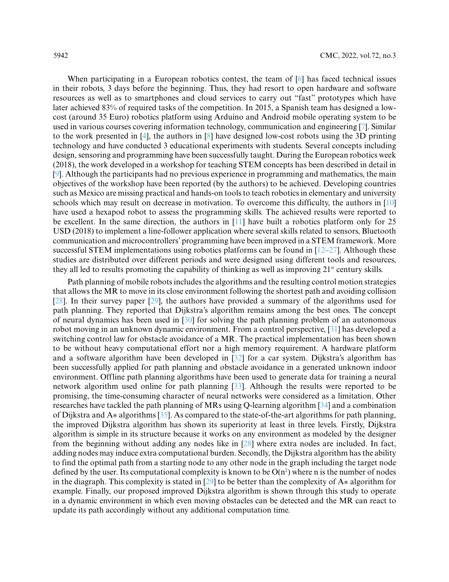When participating in a European robotics contest, the team of [\[6\]](#page-14-5) has faced technical issues in their robots, 3 days before the beginning. Thus, they had resort to open hardware and software resources as well as to smartphones and cloud services to carry out "fast" prototypes which have later achieved 83% of required tasks of the competition. In 2015, a Spanish team has designed a lowcost (around 35 Euro) robotics platform using Arduino and Android mobile operating system to be used in various courses covering information technology, communication and engineering [\[7\]](#page-14-6). Similar to the work presented in [\[4\]](#page-14-3), the authors in [\[8\]](#page-14-7) have designed low-cost robots using the 3D printing technology and have conducted 3 educational experiments with students. Several concepts including design, sensoring and programming have been successfully taught. During the European robotics week (2018), the work developed in a workshop for teaching STEM concepts has been described in detail in [\[9\]](#page-14-8). Although the participants had no previous experience in programming and mathematics, the main objectives of the workshop have been reported (by the authors) to be achieved. Developing countries such as Mexico are missing practical and hands-on tools to teach robotics in elementary and university schools which may result on decrease in motivation. To overcome this difficulty, the authors in [\[10\]](#page-14-9) have used a hexapod robot to assess the programming skills. The achieved results were reported to be excellent. In the same direction, the authors in [\[11\]](#page-14-10) have built a robotics platform only for 25 USD (2018) to implement a line-follower application where several skills related to sensors, Bluetooth communication and microcontrollers' programming have been improved in a STEM framework. More successful STEM implementations using robotics platforms can be found in  $[12-27]$  $[12-27]$ . Although these studies are distributed over different periods and were designed using different tools and resources, they all led to results promoting the capability of thinking as well as improving  $21<sup>st</sup>$  century skills.

Path planning of mobile robots includes the algorithms and the resulting control motion strategies that allows the MR to move in its close environment following the shortest path and avoiding collision [\[28\]](#page-15-1). In their survey paper [\[29\]](#page-15-2), the authors have provided a summary of the algorithms used for path planning. They reported that Dijkstra's algorithm remains among the best ones. The concept of neural dynamics has been used in [\[30\]](#page-15-3) for solving the path planning problem of an autonomous robot moving in an unknown dynamic environment. From a control perspective, [\[31\]](#page-15-4) has developed a switching control law for obstacle avoidance of a MR. The practical implementation has been shown to be without heavy computational effort nor a high memory requirement. A hardware platform and a software algorithm have been developed in [\[32\]](#page-15-5) for a car system. Dijkstra's algorithm has been successfully applied for path planning and obstacle avoidance in a generated unknown indoor environment. Offline path planning algorithms have been used to generate data for training a neural network algorithm used online for path planning [\[33\]](#page-15-6). Although the results were reported to be promising, the time-consuming character of neural networks were considered as a limitation. Other researches have tackled the path planning of MRs using Q-learning algorithm [\[34\]](#page-15-7) and a combination of Dijkstra and A∗ algorithms [\[35\]](#page-15-8). As compared to the state-of-the-art algorithms for path planning, the improved Dijkstra algorithm has shown its superiority at least in three levels. Firstly, Dijkstra algorithm is simple in its structure because it works on any environment as modeled by the designer from the beginning without adding any nodes like in [\[28\]](#page-15-1) where extra nodes are included. In fact, adding nodes may induce extra computational burden. Secondly, the Dijkstra algorithm has the ability to find the optimal path from a starting node to any other node in the graph including the target node defined by the user. Its computational complexity is known to be  $O(n^2)$  where n is the number of nodes in the diagraph. This complexity is stated in [\[29\]](#page-15-2) to be better than the complexity of A∗ algorithm for example. Finally, our proposed improved Dijkstra algorithm is shown through this study to operate in a dynamic environment in which even moving obstacles can be detected and the MR can react to update its path accordingly without any additional computation time.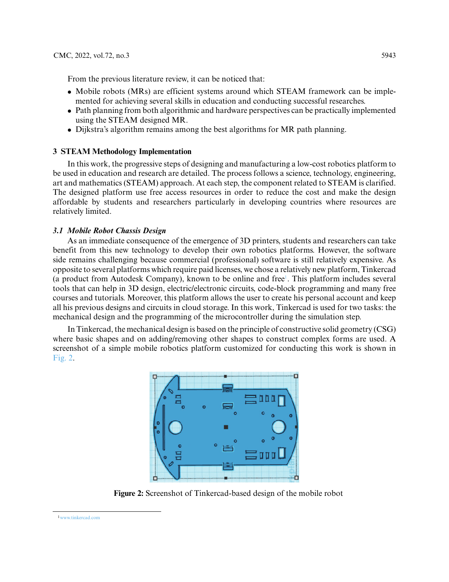From the previous literature review, it can be noticed that:

- Mobile robots (MRs) are efficient systems around which STEAM framework can be implemented for achieving several skills in education and conducting successful researches.
- Path planning from both algorithmic and hardware perspectives can be practically implemented using the STEAM designed MR.
- Dijkstra's algorithm remains among the best algorithms for MR path planning.

#### **3 STEAM Methodology Implementation**

In this work, the progressive steps of designing and manufacturing a low-cost robotics platform to be used in education and research are detailed. The process follows a science, technology, engineering, art and mathematics (STEAM) approach. At each step, the component related to STEAM is clarified. The designed platform use free access resources in order to reduce the cost and make the design affordable by students and researchers particularly in developing countries where resources are relatively limited.

#### *3.1 Mobile Robot Chassis Design*

As an immediate consequence of the emergence of 3D printers, students and researchers can take benefit from this new technology to develop their own robotics platforms. However, the software side remains challenging because commercial (professional) software is still relatively expensive. As opposite to several platforms which require paid licenses, we chose a relatively new platform, Tinkercad (a product from Autodesk Company), known to be online and free<sup>1</sup>. This platform includes several tools that can help in 3D design, electric/electronic circuits, code-block programming and many free courses and tutorials. Moreover, this platform allows the user to create his personal account and keep all his previous designs and circuits in cloud storage. In this work, Tinkercad is used for two tasks: the mechanical design and the programming of the microcontroller during the simulation step.

In Tinkercad, the mechanical design is based on the principle of constructive solid geometry (CSG) where basic shapes and on adding/removing other shapes to construct complex forms are used. A screenshot of a simple mobile robotics platform customized for conducting this work is shown in [Fig. 2.](#page-4-1)



**Figure 2:** Screenshot of Tinkercad-based design of the mobile robot

<span id="page-4-1"></span><span id="page-4-0"></span>[<sup>1</sup>www.tinkercad.com](www.tinkercad.com)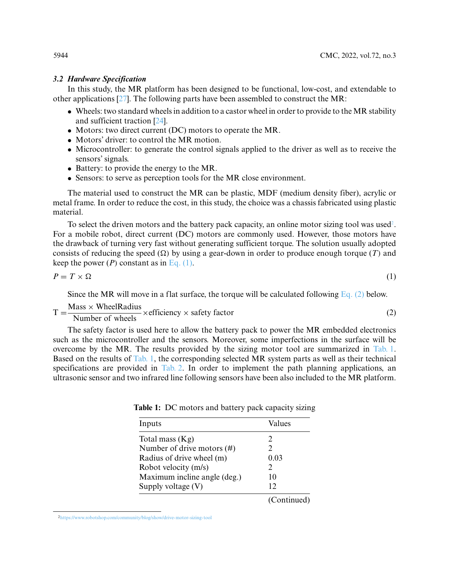#### *3.2 Hardware Specification*

In this study, the MR platform has been designed to be functional, low-cost, and extendable to other applications [\[27\]](#page-15-0). The following parts have been assembled to construct the MR:

- Wheels: two standard wheels in addition to a castor wheel in order to provide to the MR stability and sufficient traction [\[24\]](#page-15-9).
- Motors: two direct current (DC) motors to operate the MR.
- Motors' driver: to control the MR motion.
- Microcontroller: to generate the control signals applied to the driver as well as to receive the sensors' signals.
- Battery: to provide the energy to the MR.
- Sensors: to serve as perception tools for the MR close environment.

The material used to construct the MR can be plastic, MDF (medium density fiber), acrylic or metal frame. In order to reduce the cost, in this study, the choice was a chassis fabricated using plastic material.

To select the driven motors and the battery pack capacity, an online motor sizing tool was used<sup>2</sup>. For a mobile robot, direct current (DC) motors are commonly used. However, those motors have the drawback of turning very fast without generating sufficient torque. The solution usually adopted consists of reducing the speed  $(\Omega)$  by using a gear-down in order to produce enough torque  $(T)$  and keep the power  $(P)$  constant as in Eq.  $(1)$ .

$$
P = T \times \Omega \tag{1}
$$

<span id="page-5-2"></span>

<span id="page-5-1"></span>Since the MR will move in a flat surface, the torque will be calculated following [Eq. \(2\)](#page-5-2) below.

$$
- \qquad Mass \times Wheeler radius
$$

$$
T = \frac{\text{Mass} \times \text{WheelRadius}}{\text{Number of wheels}} \times \text{efficiency} \times \text{ safety factor}
$$
 (2)

The safety factor is used here to allow the battery pack to power the MR embedded electronics such as the microcontroller and the sensors. Moreover, some imperfections in the surface will be overcome by the MR. The results provided by the sizing motor tool are summarized in [Tab. 1.](#page-5-3) Based on the results of [Tab. 1,](#page-5-3) the corresponding selected MR system parts as well as their technical specifications are provided in [Tab. 2.](#page-6-0) In order to implement the path planning applications, an ultrasonic sensor and two infrared line following sensors have been also included to the MR platform.

<span id="page-5-3"></span>

| Inputs                        | Values                      |
|-------------------------------|-----------------------------|
| Total mass $(Kg)$             | $\mathcal{D}_{\mathcal{A}}$ |
| Number of drive motors $(\#)$ |                             |
| Radius of drive wheel (m)     | 0.03                        |
| Robot velocity (m/s)          |                             |
| Maximum incline angle (deg.)  | 10                          |
| Supply voltage $(V)$          | 12                          |
|                               | (Continued)                 |

**Table 1:** DC motors and battery pack capacity sizing

<span id="page-5-0"></span>[<sup>2</sup>https://www.robotshop.com/community/blog/show/drive-motor-sizing-tool](https://www.robotshop.com/community/blog/show/drive-motor-sizing-tool)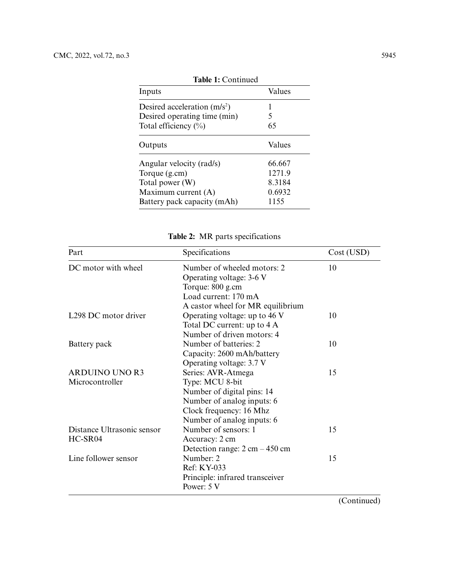| тамк т. сопинаса              |        |  |  |
|-------------------------------|--------|--|--|
| Inputs                        | Values |  |  |
| Desired acceleration $(m/s2)$ |        |  |  |
| Desired operating time (min)  | 5      |  |  |
| Total efficiency $(\%)$       | 65     |  |  |
| Outputs                       | Values |  |  |
| Angular velocity (rad/s)      | 66.667 |  |  |
| Torque $(g.cm)$               | 1271.9 |  |  |
| Total power $(W)$             | 8.3184 |  |  |
| Maximum current $(A)$         | 0.6932 |  |  |
| Battery pack capacity (mAh)   | 1155   |  |  |
|                               |        |  |  |

**Table 1:** Continued

| Part                       | Specifications                                   | Cost (USD) |
|----------------------------|--------------------------------------------------|------------|
| DC motor with wheel        | Number of wheeled motors: 2                      | 10         |
|                            | Operating voltage: 3-6 V                         |            |
|                            | Torque: 800 g.cm                                 |            |
|                            | Load current: 170 mA                             |            |
|                            | A castor wheel for MR equilibrium                |            |
| L298 DC motor driver       | Operating voltage: up to 46 V                    | 10         |
|                            | Total DC current: up to 4 A                      |            |
|                            | Number of driven motors: 4                       |            |
| Battery pack               | Number of batteries: 2                           | 10         |
|                            | Capacity: 2600 mAh/battery                       |            |
|                            | Operating voltage: 3.7 V                         |            |
| <b>ARDUINO UNO R3</b>      | Series: AVR-Atmega                               | 15         |
| Microcontroller            | Type: MCU 8-bit                                  |            |
|                            | Number of digital pins: 14                       |            |
|                            | Number of analog inputs: 6                       |            |
|                            | Clock frequency: 16 Mhz                          |            |
|                            | Number of analog inputs: 6                       |            |
| Distance Ultrasonic sensor | Number of sensors: 1                             | 15         |
| HC-SR04                    | Accuracy: 2 cm                                   |            |
|                            | Detection range: $2 \text{ cm} - 450 \text{ cm}$ |            |
| Line follower sensor       | Number: 2                                        | 15         |
|                            | Ref: KY-033                                      |            |
|                            | Principle: infrared transceiver                  |            |
|                            | Power: 5 V                                       |            |

<span id="page-6-0"></span>**Table 2:** MR parts specifications

(Continued)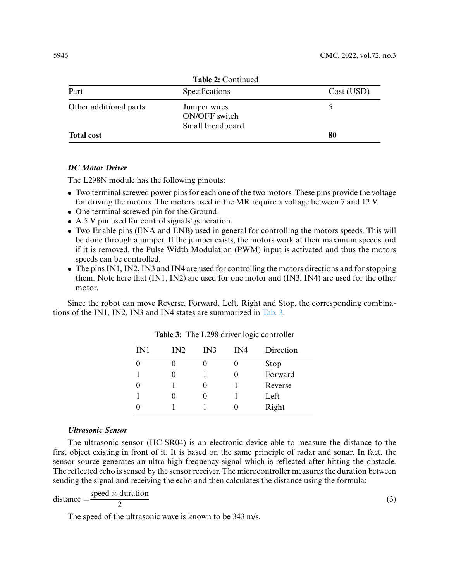| Table 2: Continued     |                                                   |            |  |
|------------------------|---------------------------------------------------|------------|--|
| Part                   | Specifications                                    | Cost (USD) |  |
| Other additional parts | Jumper wires<br>ON/OFF switch<br>Small breadboard |            |  |
| <b>Total cost</b>      |                                                   | 80         |  |

## *DC Motor Driver*

The L298N module has the following pinouts:

- Two terminal screwed power pins for each one of the two motors. These pins provide the voltage for driving the motors. The motors used in the MR require a voltage between 7 and 12 V.
- One terminal screwed pin for the Ground.
- A 5 V pin used for control signals' generation.
- Two Enable pins (ENA and ENB) used in general for controlling the motors speeds. This will be done through a jumper. If the jumper exists, the motors work at their maximum speeds and if it is removed, the Pulse Width Modulation (PWM) input is activated and thus the motors speeds can be controlled.
- The pins IN1, IN2, IN3 and IN4 are used for controlling the motors directions and for stopping them. Note here that (IN1, IN2) are used for one motor and (IN3, IN4) are used for the other motor.

<span id="page-7-0"></span>Since the robot can move Reverse, Forward, Left, Right and Stop, the corresponding combinations of the IN1, IN2, IN3 and IN4 states are summarized in [Tab. 3.](#page-7-0)

| IN1 | IN2 | IN3 | IN4 | Direction |
|-----|-----|-----|-----|-----------|
|     |     |     |     | Stop      |
|     |     |     |     | Forward   |
|     |     |     |     | Reverse   |
|     |     |     |     | Left      |
|     |     |     |     | Right     |

**Table 3:** The L298 driver logic controller

#### *Ultrasonic Sensor*

The ultrasonic sensor (HC-SR04) is an electronic device able to measure the distance to the first object existing in front of it. It is based on the same principle of radar and sonar. In fact, the sensor source generates an ultra-high frequency signal which is reflected after hitting the obstacle. The reflected echo is sensed by the sensor receiver. The microcontroller measures the duration between sending the signal and receiving the echo and then calculates the distance using the formula:

distance = 
$$
\frac{\text{speed} \times \text{duration}}{2}
$$
 (3)

The speed of the ultrasonic wave is known to be 343 m/s.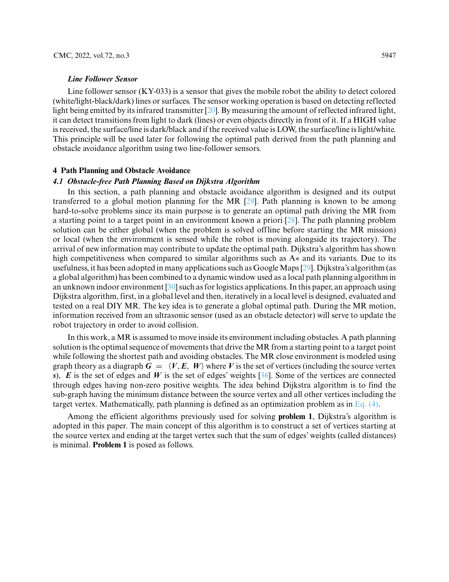Line follower sensor  $(KY-033)$  is a sensor that gives the mobile robot the ability to detect colored (white/light-black/dark) lines or surfaces. The sensor working operation is based on detecting reflected light being emitted by its infrared transmitter [\[20\]](#page-15-10). By measuring the amount of reflected infrared light, it can detect transitions from light to dark (lines) or even objects directly in front of it. If a HIGH value is received, the surface/line is dark/black and if the received value is LOW, the surface/line is light/white. This principle will be used later for following the optimal path derived from the path planning and obstacle avoidance algorithm using two line-follower sensors.

## **4 Path Planning and Obstacle Avoidance**

#### *4.1 Obstacle-free Path Planning Based on Dijkstra Algorithm*

In this section, a path planning and obstacle avoidance algorithm is designed and its output transferred to a global motion planning for the MR [\[29\]](#page-15-2). Path planning is known to be among hard-to-solve problems since its main purpose is to generate an optimal path driving the MR from a starting point to a target point in an environment known a priori [\[28\]](#page-15-1). The path planning problem solution can be either global (when the problem is solved offline before starting the MR mission) or local (when the environment is sensed while the robot is moving alongside its trajectory). The arrival of new information may contribute to update the optimal path. Dijkstra's algorithm has shown high competitiveness when compared to similar algorithms such as A∗ and its variants. Due to its usefulness, it has been adopted in many applications such as Google Maps [\[29\]](#page-15-2). Dijkstra's algorithm (as a global algorithm) has been combined to a dynamic window used as a local path planning algorithm in an unknown indoor environment [\[30\]](#page-15-3) such as for logistics applications. In this paper, an approach using Dijkstra algorithm, first, in a global level and then, iteratively in a local level is designed, evaluated and tested on a real DIY MR. The key idea is to generate a global optimal path. During the MR motion, information received from an ultrasonic sensor (used as an obstacle detector) will serve to update the robot trajectory in order to avoid collision.

In this work, a MR is assumed to move inside its environment including obstacles. A path planning solution is the optimal sequence of movements that drive the MR from a starting point to a target point while following the shortest path and avoiding obstacles. The MR close environment is modeled using graph theory as a diagraph  $G = \langle V, E, W \rangle$  where V is the set of vertices (including the source vertex *s*), *E* is the set of edges and *W* is the set of edges' weights [\[36\]](#page-15-11). Some of the vertices are connected through edges having non-zero positive weights. The idea behind Dijkstra algorithm is to find the sub-graph having the minimum distance between the source vertex and all other vertices including the target vertex. Mathematically, path planning is defined as an optimization problem as in Eq.  $(4)$ .

Among the efficient algorithms previously used for solving **problem 1**, Dijkstra's algorithm is adopted in this paper. The main concept of this algorithm is to construct a set of vertices starting at the source vertex and ending at the target vertex such that the sum of edges' weights (called distances) is minimal. **Problem 1** is posed as follows.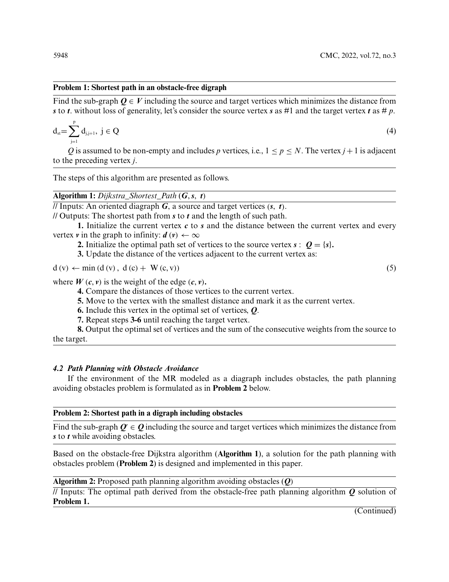### **Problem 1: Shortest path in an obstacle-free digraph**

Find the sub-graph  $Q \in V$  including the source and target vertices which minimizes the distance from *s* to *t*. without loss of generality, let's consider the source vertex *s* as #1 and the target vertex *t* as # *p*.

$$
d_{st} = \sum_{j=1}^{p} d_{j,j+1}, \ j \in Q
$$
 (4)

*Q* is assumed to be non-empty and includes *p* vertices, i.e.,  $1 < p < N$ . The vertex  $j + 1$  is adjacent to the preceding vertex *j*.

The steps of this algorithm are presented as follows.

**Algorithm 1:** *Dijkstra\_Shortest\_Path* (*G*,*s*, *t)*

 $\sqrt{I}$  Inputs: An oriented diagraph *G*, a source and target vertices  $(s, t)$ .

// Outputs: The shortest path from *s* to *t* and the length of such path.

**1.** Initialize the current vertex *c* to *s* and the distance between the current vertex and every vertex *v* in the graph to infinity:  $d(v) \leftarrow \infty$ 

**2.** Initialize the optimal path set of vertices to the source vertex  $\mathbf{s}: \mathbf{Q} = \{s\}$ .

**3.** Update the distance of the vertices adjacent to the current vertex as:

 $d(v) \leftarrow min(d(v), d(c) + W(c, v))$  (5)

where  $W(c, v)$  is the weight of the edge  $(c, v)$ .

**4.** Compare the distances of those vertices to the current vertex.

**5.** Move to the vertex with the smallest distance and mark it as the current vertex.

**6.** Include this vertex in the optimal set of vertices, *Q*.

**7.** Repeat steps **3-6** until reaching the target vertex.

**8.** Output the optimal set of vertices and the sum of the consecutive weights from the source to the target.

## *4.2 Path Planning with Obstacle Avoidance*

If the environment of the MR modeled as a diagraph includes obstacles, the path planning avoiding obstacles problem is formulated as in **Problem 2** below.

#### **Problem 2: Shortest path in a digraph including obstacles**

Find the sub-graph  $Q \in Q$  including the source and target vertices which minimizes the distance from *s* to *t* while avoiding obstacles.

Based on the obstacle-free Dijkstra algorithm (**Algorithm 1**), a solution for the path planning with obstacles problem (**Problem 2**) is designed and implemented in this paper.

**Algorithm 2:** Proposed path planning algorithm avoiding obstacles (*Q)*

// Inputs: The optimal path derived from the obstacle-free path planning algorithm *Q* solution of **Problem 1.**

(Continued)

<span id="page-9-0"></span>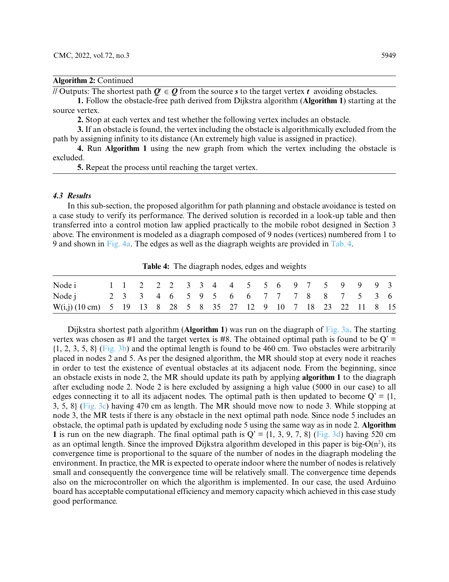| <b>Algorithm 2: Continued</b> |  |
|-------------------------------|--|
|-------------------------------|--|

// Outputs: The shortest path  $Q \in Q$  from the source *s* to the target vertex *t* avoiding obstacles.

**1.** Follow the obstacle-free path derived from Dijkstra algorithm (**Algorithm 1**) starting at the source vertex.

**2.** Stop at each vertex and test whether the following vertex includes an obstacle.

**3.** If an obstacle is found, the vertex including the obstacle is algorithmically excluded from the path by assigning infinity to its distance (An extremely high value is assigned in practice).

**4.** Run **Algorithm 1** using the new graph from which the vertex including the obstacle is excluded.

**5.** Repeat the process until reaching the target vertex.

#### *4.3 Results*

In this sub-section, the proposed algorithm for path planning and obstacle avoidance is tested on a case study to verify its performance. The derived solution is recorded in a look-up table and then transferred into a control motion law applied practically to the mobile robot designed in Section 3 above. The environment is modeled as a diagraph composed of 9 nodes (vertices) numbered from 1 to 9 and shown in [Fig. 4a.](#page-12-0) The edges as well as the diagraph weights are provided in [Tab. 4.](#page-10-0)

<span id="page-10-0"></span>Node i 1 1 2 2 2 3 3 4 4 5 5 6 9 7 5 9 9 9 3 Nodej 2 3 3 4 6 5 9 5 6 6 7 7 7 8 8 7 5 3 6 W(i,j) (10 cm) 5 19 13 8 28 5 8 35 27 12 9 10 7 18 23 22 11 8 15

**Table 4:** The diagraph nodes, edges and weights

Dijkstra shortest path algorithm (**Algorithm 1**) was run on the diagraph of [Fig. 3a.](#page-11-0) The starting vertex was chosen as #1 and the target vertex is #8. The obtained optimal path is found to be  $Q' =$ {1, 2, 3, 5, 8} [\(Fig. 3b\)](#page-11-0) and the optimal length is found to be 460 cm. Two obstacles were arbitrarily placed in nodes 2 and 5. As per the designed algorithm, the MR should stop at every node it reaches in order to test the existence of eventual obstacles at its adjacent node. From the beginning, since an obstacle exists in node 2, the MR should update its path by applying **algorithm 1** to the diagraph after excluding node 2. Node 2 is here excluded by assigning a high value (5000 in our case) to all edges connecting it to all its adjacent nodes. The optimal path is then updated to become  $Q' = \{1,$ 3, 5, 8} [\(Fig. 3c\)](#page-11-0) having 470 cm as length. The MR should move now to node 3. While stopping at node 3, the MR tests if there is any obstacle in the next optimal path node. Since node 5 includes an obstacle, the optimal path is updated by excluding node 5 using the same way as in node 2. **Algorithm 1** is run on the new diagraph. The final optimal path is  $Q' = \{1, 3, 9, 7, 8\}$  [\(Fig. 3d\)](#page-11-0) having 520 cm as an optimal length. Since the improved Dijkstra algorithm developed in this paper is big-O(n<sup>2</sup>), its convergence time is proportional to the square of the number of nodes in the diagraph modeling the environment. In practice, the MR is expected to operate indoor where the number of nodes is relatively small and consequently the convergence time will be relatively small. The convergence time depends also on the microcontroller on which the algorithm is implemented. In our case, the used Arduino board has acceptable computational efficiency and memory capacity which achieved in this case study good performance.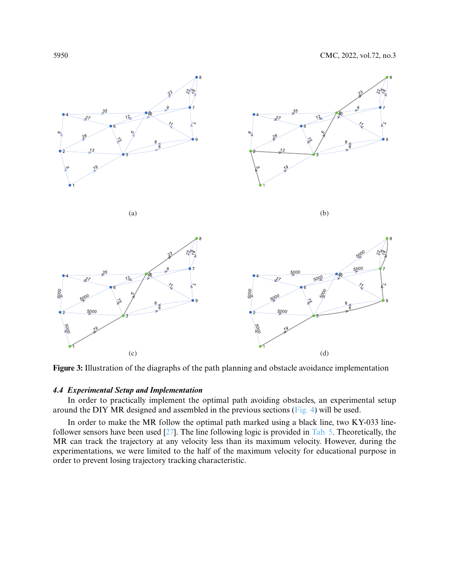

<span id="page-11-0"></span>**Figure 3:** Illustration of the diagraphs of the path planning and obstacle avoidance implementation

## *4.4 Experimental Setup and Implementation*

In order to practically implement the optimal path avoiding obstacles, an experimental setup around the DIY MR designed and assembled in the previous sections [\(Fig. 4\)](#page-12-0) will be used.

In order to make the MR follow the optimal path marked using a black line, two KY-033 linefollower sensors have been used [\[27\]](#page-15-0). The line following logic is provided in [Tab. 5.](#page-12-1) Theoretically, the MR can track the trajectory at any velocity less than its maximum velocity. However, during the experimentations, we were limited to the half of the maximum velocity for educational purpose in order to prevent losing trajectory tracking characteristic.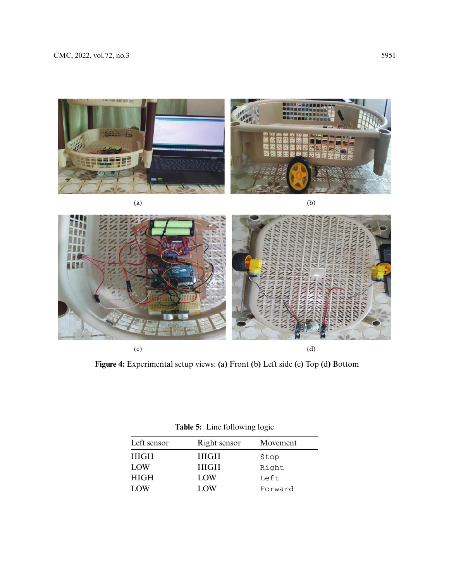



**Figure 4:** Experimental setup views: **(**a**)** Front **(**b**)** Left side **(**c**)** Top **(**d**)** Bottom

|  | Table 5: Line following logic |  |  |  |  |
|--|-------------------------------|--|--|--|--|
|--|-------------------------------|--|--|--|--|

<span id="page-12-1"></span><span id="page-12-0"></span>

| Left sensor | Right sensor | Movement |
|-------------|--------------|----------|
| <b>HIGH</b> | HIGH         | Stop     |
| LOW         | <b>HIGH</b>  | Right    |
| <b>HIGH</b> | LOW          | Left     |
| LOW         | LOW          | Forward  |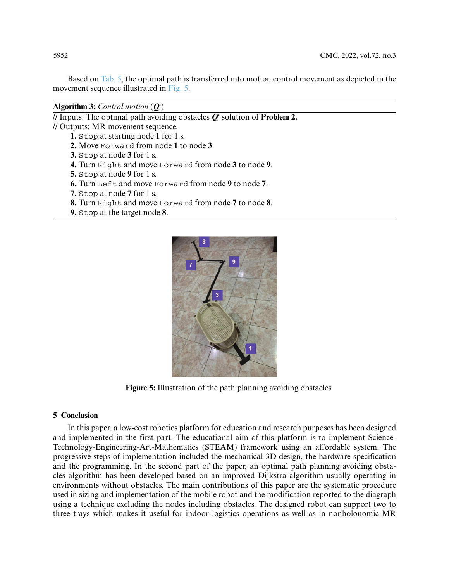Based on [Tab. 5,](#page-12-1) the optimal path is transferred into motion control movement as depicted in the movement sequence illustrated in [Fig. 5.](#page-13-0)

**Algorithm 3:** *Control motion* (*Q***-** *)*

// Inputs: The optimal path avoiding obstacles  $Q$  solution of  $\mathbf{Problem 2.}$ // Outputs: MR movement sequence.

- **1.** Stop at starting node **1** for 1 s.
- **2.** Move Forward from node **1** to node **3**.
- **3.** Stop at node **3** for 1 s.
- **4.** Turn Right and move Forward from node **3** to node **9**.
- **5.** Stop at node **9** for 1 s.
- **6.** Turn Left and move Forward from node **9** to node **7**.
- **7.** Stop at node **7** for 1 s.
- **8.** Turn Right and move Forward from node **7** to node **8**.
- **9.** Stop at the target node **8**.



**Figure 5:** Illustration of the path planning avoiding obstacles

## <span id="page-13-0"></span>**5 Conclusion**

In this paper, a low-cost robotics platform for education and research purposes has been designed and implemented in the first part. The educational aim of this platform is to implement Science-Technology-Engineering-Art-Mathematics (STEAM) framework using an affordable system. The progressive steps of implementation included the mechanical 3D design, the hardware specification and the programming. In the second part of the paper, an optimal path planning avoiding obstacles algorithm has been developed based on an improved Dijkstra algorithm usually operating in environments without obstacles. The main contributions of this paper are the systematic procedure used in sizing and implementation of the mobile robot and the modification reported to the diagraph using a technique excluding the nodes including obstacles. The designed robot can support two to three trays which makes it useful for indoor logistics operations as well as in nonholonomic MR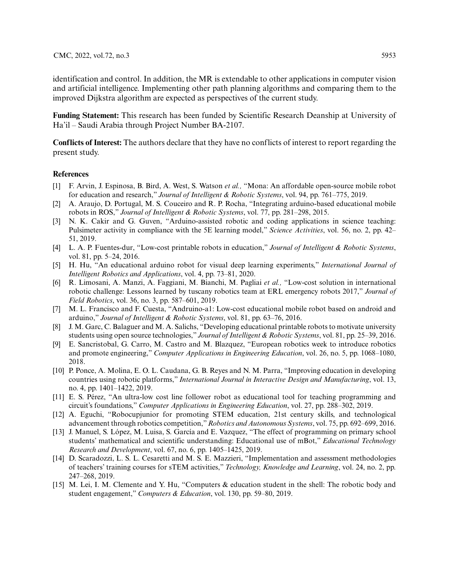identification and control. In addition, the MR is extendable to other applications in computer vision and artificial intelligence. Implementing other path planning algorithms and comparing them to the improved Dijkstra algorithm are expected as perspectives of the current study.

**Funding Statement:** This research has been funded by Scientific Research Deanship at University of Ha'il – Saudi Arabia through Project Number BA-2107.

**Conflicts of Interest:** The authors declare that they have no conflicts of interest to report regarding the present study.

#### **References**

- <span id="page-14-0"></span>[1] F. Arvin, J. Espinosa, B. Bird, A. West, S. Watson *et al.,* "Mona: An affordable open-source mobile robot for education and research," *Journal of Intelligent & Robotic Systems*, vol. 94, pp. 761–775, 2019.
- <span id="page-14-1"></span>[2] A. Araujo, D. Portugal, M. S. Couceiro and R. P. Rocha, "Integrating arduino-based educational mobile robots in ROS," *Journal of Intelligent & Robotic Systems*, vol. 77, pp. 281–298, 2015.
- <span id="page-14-2"></span>[3] N. K. Cakir and G. Guven, "Arduino-assisted robotic and coding applications in science teaching: Pulsimeter activity in compliance with the 5E learning model," *Science Activities*, vol. 56, no. 2, pp. 42– 51, 2019.
- <span id="page-14-3"></span>[4] L. A. P. Fuentes-dur, "Low-cost printable robots in education," *Journal of Intelligent & Robotic Systems*, vol. 81, pp. 5–24, 2016.
- <span id="page-14-4"></span>[5] H. Hu, "An educational arduino robot for visual deep learning experiments," *International Journal of Intelligent Robotics and Applications*, vol. 4, pp. 73–81, 2020.
- <span id="page-14-5"></span>[6] R. Limosani, A. Manzi, A. Faggiani, M. Bianchi, M. Pagliai *et al.,* "Low-cost solution in international robotic challenge: Lessons learned by tuscany robotics team at ERL emergency robots 2017," *Journal of Field Robotics*, vol. 36, no. 3, pp. 587–601, 2019.
- <span id="page-14-6"></span>[7] M. L. Francisco and F. Cuesta, "Andruino-a1: Low-cost educational mobile robot based on android and arduino," *Journal of Intelligent & Robotic Systems*, vol. 81, pp. 63–76, 2016.
- <span id="page-14-7"></span>[8] J. M. Garc, C. Balaguer and M. A. Salichs, "Developing educational printable robots to motivate university students using open source technologies," *Journal of Intelligent & Robotic Systems*, vol. 81, pp. 25–39, 2016.
- <span id="page-14-8"></span>[9] E. Sancristobal, G. Carro, M. Castro and M. Blazquez, "European robotics week to introduce robotics and promote engineering," *Computer Applications in Engineering Education*, vol. 26, no. 5, pp. 1068–1080, 2018.
- <span id="page-14-9"></span>[10] P. Ponce, A. Molina, E. O. L. Caudana, G. B. Reyes and N. M. Parra, "Improving education in developing countries using robotic platforms," *International Journal in Interactive Design and Manufacturing*, vol. 13, no. 4, pp. 1401–1422, 2019.
- <span id="page-14-10"></span>[11] E. S. Pérez, "An ultra-low cost line follower robot as educational tool for teaching programming and circuit's foundations," *Computer Applications in Engineering Education*, vol. 27, pp. 288–302, 2019.
- <span id="page-14-11"></span>[12] A. Eguchi, "Robocupjunior for promoting STEM education, 21st century skills, and technological advancement through robotics competition,"*Robotics and Autonomous Systems*, vol. 75, pp. 692–699, 2016.
- [13] J. Manuel, S. López, M. Luisa, S. García and E. Vazquez, "The effect of programming on primary school students' mathematical and scientific understanding: Educational use of mBot," *Educational Technology Research and Development*, vol. 67, no. 6, pp. 1405–1425, 2019.
- [14] D. Scaradozzi, L. S. L. Cesaretti and M. S. E. Mazzieri, "Implementation and assessment methodologies of teachers' training courses for sTEM activities," *Technology, Knowledge and Learning*, vol. 24, no. 2, pp. 247–268, 2019.
- [15] M. Lei, I. M. Clemente and Y. Hu, "Computers & education student in the shell: The robotic body and student engagement," *Computers & Education*, vol. 130, pp. 59–80, 2019.